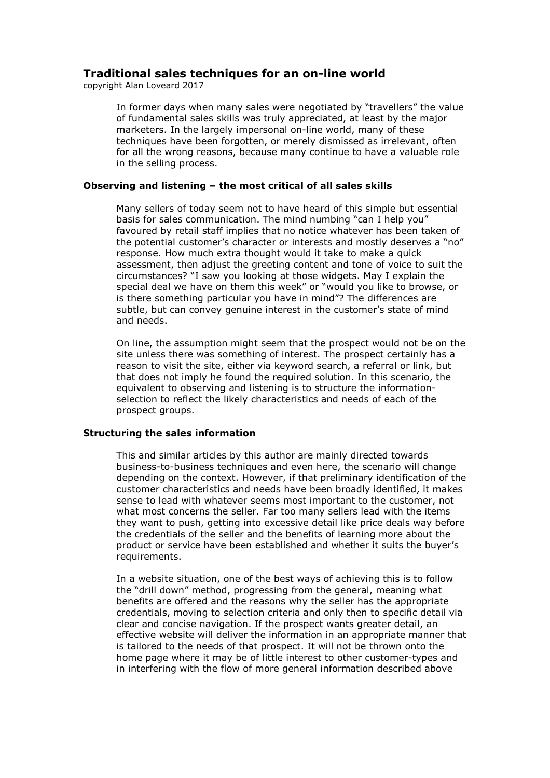# Traditional sales techniques for an on-line world

copyright Alan Loveard 2017

In former days when many sales were negotiated by "travellers" the value of fundamental sales skills was truly appreciated, at least by the major marketers. In the largely impersonal on-line world, many of these techniques have been forgotten, or merely dismissed as irrelevant, often for all the wrong reasons, because many continue to have a valuable role in the selling process.

## Observing and listening – the most critical of all sales skills

Many sellers of today seem not to have heard of this simple but essential basis for sales communication. The mind numbing "can I help you" favoured by retail staff implies that no notice whatever has been taken of the potential customer's character or interests and mostly deserves a "no" response. How much extra thought would it take to make a quick assessment, then adjust the greeting content and tone of voice to suit the circumstances? "I saw you looking at those widgets. May I explain the special deal we have on them this week" or "would you like to browse, or is there something particular you have in mind"? The differences are subtle, but can convey genuine interest in the customer's state of mind and needs.

On line, the assumption might seem that the prospect would not be on the site unless there was something of interest. The prospect certainly has a reason to visit the site, either via keyword search, a referral or link, but that does not imply he found the required solution. In this scenario, the equivalent to observing and listening is to structure the informationselection to reflect the likely characteristics and needs of each of the prospect groups.

## Structuring the sales information

This and similar articles by this author are mainly directed towards business-to-business techniques and even here, the scenario will change depending on the context. However, if that preliminary identification of the customer characteristics and needs have been broadly identified, it makes sense to lead with whatever seems most important to the customer, not what most concerns the seller. Far too many sellers lead with the items they want to push, getting into excessive detail like price deals way before the credentials of the seller and the benefits of learning more about the product or service have been established and whether it suits the buyer's requirements.

In a website situation, one of the best ways of achieving this is to follow the "drill down" method, progressing from the general, meaning what benefits are offered and the reasons why the seller has the appropriate credentials, moving to selection criteria and only then to specific detail via clear and concise navigation. If the prospect wants greater detail, an effective website will deliver the information in an appropriate manner that is tailored to the needs of that prospect. It will not be thrown onto the home page where it may be of little interest to other customer-types and in interfering with the flow of more general information described above